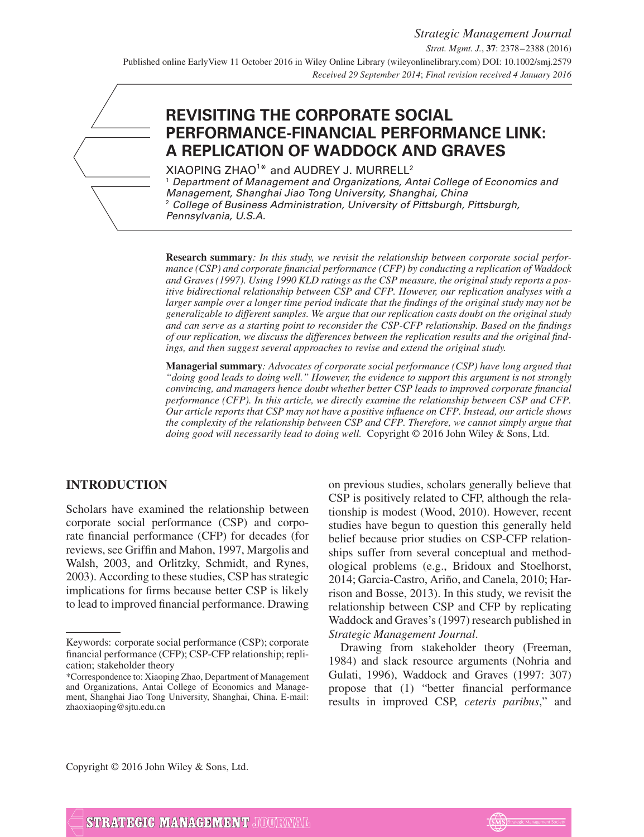# **REVISITING THE CORPORATE SOCIAL PERFORMANCE-FINANCIAL PERFORMANCE LINK: A REPLICATION OF WADDOCK AND GRAVES**

 $X$ IAOPING ZHAO<sup>1\*</sup> and AUDREY J. MURRELL<sup>2</sup> <sup>1</sup> Department of Management and Organizations, Antai College of Economics and Management, Shanghai Jiao Tong University, Shanghai, China <sup>2</sup> College of Business Administration, University of Pittsburgh, Pittsburgh, Pennsylvania, U.S.A.

**Research summary***: In this study, we revisit the relationship between corporate social performance (CSP) and corporate financial performance (CFP) by conducting a replication of Waddock and Graves (1997). Using 1990 KLD ratings as the CSP measure, the original study reports a positive bidirectional relationship between CSP and CFP. However, our replication analyses with a larger sample over a longer time period indicate that the findings of the original study may not be generalizable to different samples. We argue that our replication casts doubt on the original study and can serve as a starting point to reconsider the CSP-CFP relationship. Based on the findings of our replication, we discuss the differences between the replication results and the original findings, and then suggest several approaches to revise and extend the original study.*

**Managerial summary***: Advocates of corporate social performance (CSP) have long argued that "doing good leads to doing well." However, the evidence to support this argument is not strongly convincing, and managers hence doubt whether better CSP leads to improved corporate financial performance (CFP). In this article, we directly examine the relationship between CSP and CFP. Our article reports that CSP may not have a positive influence on CFP. Instead, our article shows the complexity of the relationship between CSP and CFP. Therefore, we cannot simply argue that doing good will necessarily lead to doing well.* Copyright © 2016 John Wiley & Sons, Ltd.

# **INTRODUCTION**

Scholars have examined the relationship between corporate social performance (CSP) and corporate financial performance (CFP) for decades (for reviews, see Griffin and Mahon, 1997, Margolis and Walsh, 2003, and Orlitzky, Schmidt, and Rynes, 2003). According to these studies, CSP has strategic implications for firms because better CSP is likely to lead to improved financial performance. Drawing on previous studies, scholars generally believe that CSP is positively related to CFP, although the relationship is modest (Wood, 2010). However, recent studies have begun to question this generally held belief because prior studies on CSP-CFP relationships suffer from several conceptual and methodological problems (e.g., Bridoux and Stoelhorst, 2014; Garcia-Castro, Ariño, and Canela, 2010; Harrison and Bosse, 2013). In this study, we revisit the relationship between CSP and CFP by replicating Waddock and Graves's (1997) research published in *Strategic Management Journal*.

Drawing from stakeholder theory (Freeman, 1984) and slack resource arguments (Nohria and Gulati, 1996), Waddock and Graves (1997: 307) propose that (1) "better financial performance results in improved CSP, *ceteris paribus*," and

Copyright © 2016 John Wiley & Sons, Ltd.



Keywords: corporate social performance (CSP); corporate financial performance (CFP); CSP-CFP relationship; replication; stakeholder theory

<sup>\*</sup>Correspondence to: Xiaoping Zhao, Department of Management and Organizations, Antai College of Economics and Management, Shanghai Jiao Tong University, Shanghai, China. E-mail: zhaoxiaoping@sjtu.edu.cn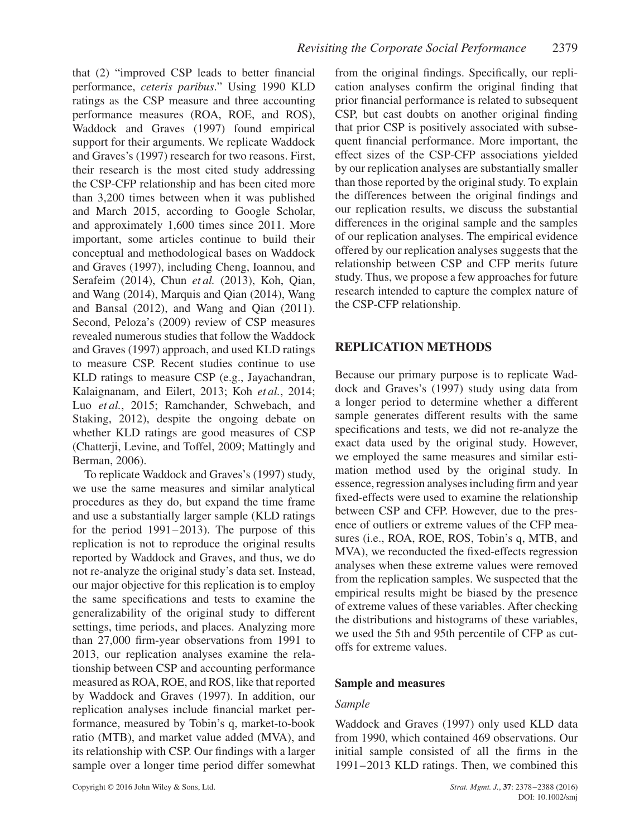that (2) "improved CSP leads to better financial performance, *ceteris paribus*." Using 1990 KLD ratings as the CSP measure and three accounting performance measures (ROA, ROE, and ROS), Waddock and Graves (1997) found empirical support for their arguments. We replicate Waddock and Graves's (1997) research for two reasons. First, their research is the most cited study addressing the CSP-CFP relationship and has been cited more than 3,200 times between when it was published and March 2015, according to Google Scholar, and approximately 1,600 times since 2011. More important, some articles continue to build their conceptual and methodological bases on Waddock and Graves (1997), including Cheng, Ioannou, and Serafeim (2014), Chun *et al.* (2013), Koh, Qian, and Wang (2014), Marquis and Qian (2014), Wang and Bansal (2012), and Wang and Qian (2011). Second, Peloza's (2009) review of CSP measures revealed numerous studies that follow the Waddock and Graves (1997) approach, and used KLD ratings to measure CSP. Recent studies continue to use KLD ratings to measure CSP (e.g., Jayachandran, Kalaignanam, and Eilert, 2013; Koh *et al.*, 2014; Luo *et al.*, 2015; Ramchander, Schwebach, and Staking, 2012), despite the ongoing debate on whether KLD ratings are good measures of CSP (Chatterji, Levine, and Toffel, 2009; Mattingly and Berman, 2006).

To replicate Waddock and Graves's (1997) study, we use the same measures and similar analytical procedures as they do, but expand the time frame and use a substantially larger sample (KLD ratings for the period 1991–2013). The purpose of this replication is not to reproduce the original results reported by Waddock and Graves, and thus, we do not re-analyze the original study's data set. Instead, our major objective for this replication is to employ the same specifications and tests to examine the generalizability of the original study to different settings, time periods, and places. Analyzing more than 27,000 firm-year observations from 1991 to 2013, our replication analyses examine the relationship between CSP and accounting performance measured as ROA, ROE, and ROS, like that reported by Waddock and Graves (1997). In addition, our replication analyses include financial market performance, measured by Tobin's q, market-to-book ratio (MTB), and market value added (MVA), and its relationship with CSP. Our findings with a larger sample over a longer time period differ somewhat from the original findings. Specifically, our replication analyses confirm the original finding that prior financial performance is related to subsequent CSP, but cast doubts on another original finding that prior CSP is positively associated with subsequent financial performance. More important, the effect sizes of the CSP-CFP associations yielded by our replication analyses are substantially smaller than those reported by the original study. To explain the differences between the original findings and our replication results, we discuss the substantial differences in the original sample and the samples of our replication analyses. The empirical evidence offered by our replication analyses suggests that the relationship between CSP and CFP merits future study. Thus, we propose a few approaches for future research intended to capture the complex nature of the CSP-CFP relationship.

# **REPLICATION METHODS**

Because our primary purpose is to replicate Waddock and Graves's (1997) study using data from a longer period to determine whether a different sample generates different results with the same specifications and tests, we did not re-analyze the exact data used by the original study. However, we employed the same measures and similar estimation method used by the original study. In essence, regression analyses including firm and year fixed-effects were used to examine the relationship between CSP and CFP. However, due to the presence of outliers or extreme values of the CFP measures (i.e., ROA, ROE, ROS, Tobin's q, MTB, and MVA), we reconducted the fixed-effects regression analyses when these extreme values were removed from the replication samples. We suspected that the empirical results might be biased by the presence of extreme values of these variables. After checking the distributions and histograms of these variables, we used the 5th and 95th percentile of CFP as cutoffs for extreme values.

## **Sample and measures**

## *Sample*

Waddock and Graves (1997) only used KLD data from 1990, which contained 469 observations. Our initial sample consisted of all the firms in the 1991–2013 KLD ratings. Then, we combined this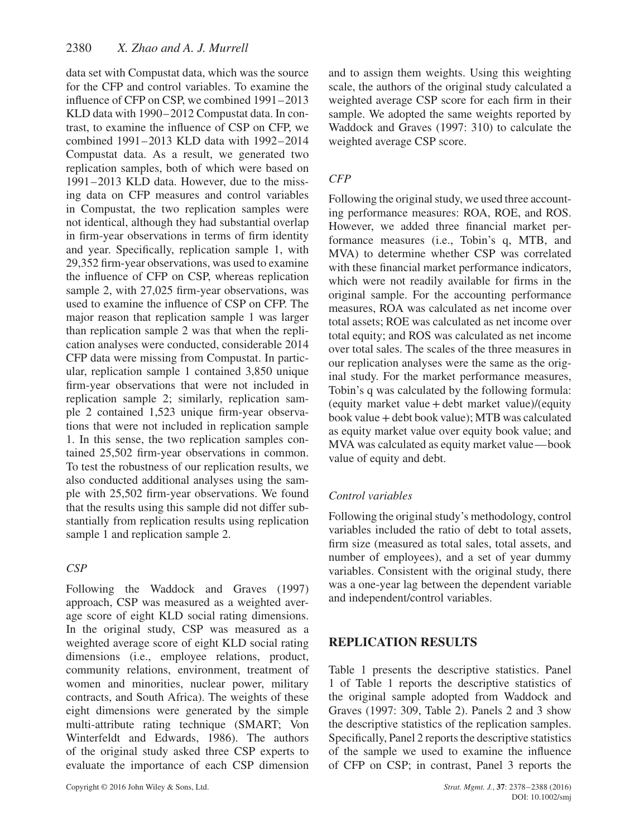data set with Compustat data, which was the source for the CFP and control variables. To examine the influence of CFP on CSP, we combined 1991–2013 KLD data with 1990–2012 Compustat data. In contrast, to examine the influence of CSP on CFP, we combined 1991–2013 KLD data with 1992–2014 Compustat data. As a result, we generated two replication samples, both of which were based on 1991–2013 KLD data. However, due to the missing data on CFP measures and control variables in Compustat, the two replication samples were not identical, although they had substantial overlap in firm-year observations in terms of firm identity and year. Specifically, replication sample 1, with 29,352 firm-year observations, was used to examine the influence of CFP on CSP, whereas replication sample 2, with 27,025 firm-year observations, was used to examine the influence of CSP on CFP. The major reason that replication sample 1 was larger than replication sample 2 was that when the replication analyses were conducted, considerable 2014 CFP data were missing from Compustat. In particular, replication sample 1 contained 3,850 unique firm-year observations that were not included in replication sample 2; similarly, replication sample 2 contained 1,523 unique firm-year observations that were not included in replication sample 1. In this sense, the two replication samples contained 25,502 firm-year observations in common. To test the robustness of our replication results, we also conducted additional analyses using the sample with 25,502 firm-year observations. We found that the results using this sample did not differ substantially from replication results using replication sample 1 and replication sample 2.

# *CSP*

Following the Waddock and Graves (1997) approach, CSP was measured as a weighted average score of eight KLD social rating dimensions. In the original study, CSP was measured as a weighted average score of eight KLD social rating dimensions (i.e., employee relations, product, community relations, environment, treatment of women and minorities, nuclear power, military contracts, and South Africa). The weights of these eight dimensions were generated by the simple multi-attribute rating technique (SMART; Von Winterfeldt and Edwards, 1986). The authors of the original study asked three CSP experts to evaluate the importance of each CSP dimension

Copyright © 2016 John Wiley & Sons, Ltd. *Strat. Mgmt. J.*, **37**: 2378–2388 (2016)

and to assign them weights. Using this weighting scale, the authors of the original study calculated a weighted average CSP score for each firm in their sample. We adopted the same weights reported by Waddock and Graves (1997: 310) to calculate the weighted average CSP score.

## *CFP*

Following the original study, we used three accounting performance measures: ROA, ROE, and ROS. However, we added three financial market performance measures (i.e., Tobin's q, MTB, and MVA) to determine whether CSP was correlated with these financial market performance indicators, which were not readily available for firms in the original sample. For the accounting performance measures, ROA was calculated as net income over total assets; ROE was calculated as net income over total equity; and ROS was calculated as net income over total sales. The scales of the three measures in our replication analyses were the same as the original study. For the market performance measures, Tobin's q was calculated by the following formula: (equity market value + debt market value)/(equity book value+debt book value); MTB was calculated as equity market value over equity book value; and MVA was calculated as equity market value—book value of equity and debt.

# *Control variables*

Following the original study's methodology, control variables included the ratio of debt to total assets, firm size (measured as total sales, total assets, and number of employees), and a set of year dummy variables. Consistent with the original study, there was a one-year lag between the dependent variable and independent/control variables.

# **REPLICATION RESULTS**

Table 1 presents the descriptive statistics. Panel 1 of Table 1 reports the descriptive statistics of the original sample adopted from Waddock and Graves (1997: 309, Table 2). Panels 2 and 3 show the descriptive statistics of the replication samples. Specifically, Panel 2 reports the descriptive statistics of the sample we used to examine the influence of CFP on CSP; in contrast, Panel 3 reports the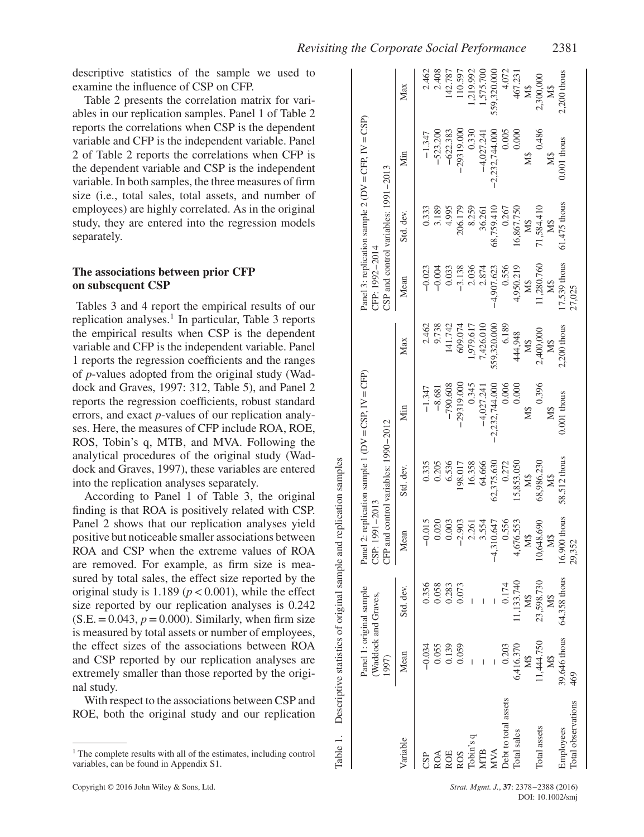| Table 1. Descriptive statistics of original sample and replication samples |                               |                          |                    |                                      |                                                       |               |                |                                      |                                                           |               |
|----------------------------------------------------------------------------|-------------------------------|--------------------------|--------------------|--------------------------------------|-------------------------------------------------------|---------------|----------------|--------------------------------------|-----------------------------------------------------------|---------------|
|                                                                            | (Waddock and Graves,<br>1997) | Panel 1: original sample | $CSP: 1991 - 2013$ | CFP and control variables: 1990-2012 | Panel 2: replication sample 1 (DV = CSP, $IV = CFP$ ) |               | CFP: 1992-2014 | CSP and control variables: 1991-2013 | Panel 3: replication sample 2 ( $DY = CFP$ , $IV = CSP$ ) |               |
| Variable                                                                   | Mean                          | Std. dev.                | Mean               | Std. dev.                            | Min                                                   | Max           | Mean           | Std. dev.                            | Min                                                       | Max           |
| 5P                                                                         | $-0.034$                      | 0.356                    | $-0.015$           | 0.335                                | $-1.347$                                              | 2.462         | $-0.023$       | 0.333                                | $-1.347$                                                  | 2.462         |
| ROA                                                                        | 0.055                         | 0.058                    | 0.020              | 0.205                                | $-8.681$                                              | 9.738         | $-0.004$       | 3.189                                | $-523.200$                                                | 2.408         |
| ROE                                                                        | 0.139                         | 0.283                    | 0.003              | 6.536                                | $-790.608$                                            | 141.742       | 0.033          | 4.995                                | $-622.383$                                                | 142.787       |
| <b>ROS</b>                                                                 | 0.059                         | 0.073                    | $-2.903$           | .98.017                              | $-29319.000$                                          | 609.074       | $-3.138$       | 206.179                              | $-29319.000$                                              | 110.597       |
| obin's q                                                                   |                               |                          | 2.261              | 16.358                               | 0.345                                                 | 1,979.617     | 2.036          | 8.259                                | 0.330                                                     | 219.992       |
| mв                                                                         |                               |                          | 3.554              | 64.666                               | $-4,027.241$                                          | 7,426.010     | 2.874          | 36.261                               | $-4,027.241$                                              | 1,575.700     |
| <b>MVA</b>                                                                 |                               |                          | $-4,310.647$       | 62,375.630                           | 2,232,744.000                                         | 59,320.000    | $-4,907.623$   | 68,759.410                           | $-2.232.744.000$                                          | 559,320.000   |
| bebt to total assets                                                       | 0.203                         | 0.174                    | 0.556              | 0.272                                | 0.006                                                 | 6.189         | 0.556          | 0.267                                | 0.005                                                     | 4.072         |
| Total sales                                                                | 6,416.370                     | 1,133.740                | 4,676.553          | 5,853.050                            | 0.000                                                 | 444,948       | 4,950.219      | 16,867.750                           | 0.000                                                     | 467.231       |
|                                                                            | $\times$                      | $M\$                     | Xß                 | XX)                                  | 8M                                                    | XIX           | $M\$           | M\$                                  | X8                                                        | М\$           |
| Total assets                                                               | 11,444.750                    | 23,598.730               | 0,648.690          | 58,986.230                           | 0.396                                                 | 2,400,000     | 1,280.760      | 71,584.410                           | 0.486                                                     | 2,300,000     |
|                                                                            | M <sub>3</sub>                | Xß                       | M\$                | Xß                                   | ХØ                                                    | <b>NS</b>     | $M\$           | XIŞ                                  | X                                                         | XK            |
| Employees                                                                  | 39.646 thous                  | 64.358 thous             | 16.900 thous       | 58.512 thous                         | $0.001$ thous                                         | $2,200$ thous | 7.539 thous    | $61.475$ thous                       | 0.001 thous                                               | $2,200$ thous |
| Total observations                                                         | 469                           |                          | 29,352             |                                      |                                                       |               | 27,025         |                                      |                                                           |               |

descriptive statistics of the sample we used to examine the influence of CSP on CFP.

Table 2 presents the correlation matrix for variables in our replication samples. Panel 1 of Table 2 reports the correlations when CSP is the dependent variable and CFP is the independent variable. Panel 2 of Table 2 reports the correlations when CFP is the dependent variable and CSP is the independent variable. In both samples, the three measures of firm size (i.e., total sales, total assets, and number of employees) are highly correlated. As in the original study, they are entered into the regression models separately.

#### **The associations between prior CFP on subsequent CSP**

Tables 3 and 4 report the empirical results of our replication analyses.<sup>1</sup> In particular, Table 3 reports the empirical results when CSP is the dependent variable and CFP is the independent variable. Panel 1 reports the regression coefficients and the ranges of *p*-values adopted from the original study (Waddock and Graves, 1997: 312, Table 5), and Panel 2 reports the regression coefficients, robust standard errors, and exact *p*-values of our replication analyses. Here, the measures of CFP include ROA, ROE, ROS, Tobin's q, MTB, and MVA. Following the analytical procedures of the original study (Waddock and Graves, 1997), these variables are entered into the replication analyses separately.

According to Panel 1 of Table 3, the original finding is that ROA is positively related with CSP. Panel 2 shows that our replication analyses yield positive but noticeable smaller associations between ROA and CSP when the extreme values of ROA are removed. For example, as firm size is measured by total sales, the effect size reported by the original study is 1.189 ( $p < 0.001$ ), while the effect size reported by our replication analyses is 0.242  $(S.E. = 0.043, p = 0.000)$ . Similarly, when firm size is measured by total assets or number of employees, the effect sizes of the associations between ROA and CSP reported by our replication analyses are extremely smaller than those reported by the original study.

With respect to the associations between CSP and ROE, both the original study and our replication

DOI: 10.1002/smj

<sup>&</sup>lt;sup>1</sup> The complete results with all of the estimates, including control variables, can be found in Appendix S1.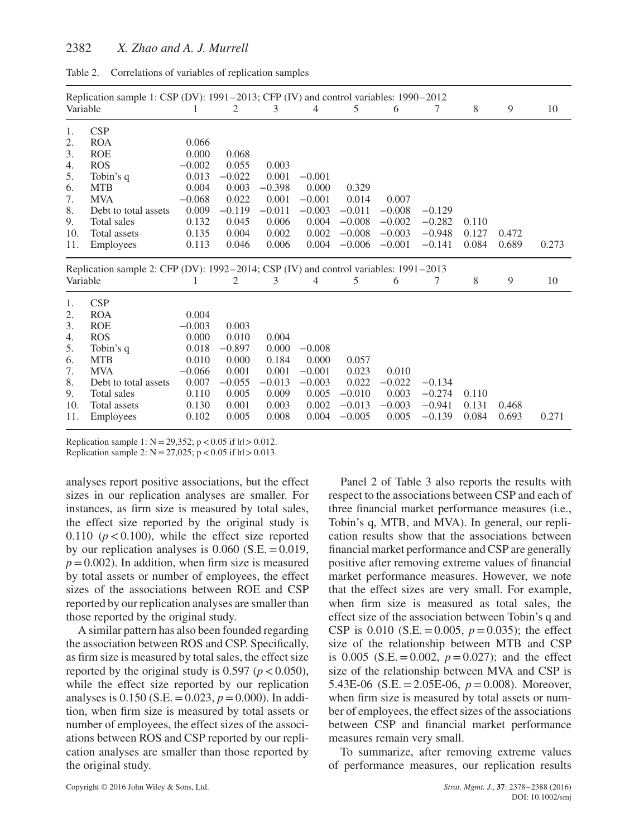|          | Replication sample 1: CSP (DV): 1991–2013; CFP (IV) and control variables: 1990–2012 |          |          |          |                |          |          |          |       |       |       |
|----------|--------------------------------------------------------------------------------------|----------|----------|----------|----------------|----------|----------|----------|-------|-------|-------|
| Variable |                                                                                      |          | 2        | 3        | $\overline{4}$ | 5.       | 6        | 7        | 8     | 9     | 10    |
| 1.       | CSP                                                                                  |          |          |          |                |          |          |          |       |       |       |
| 2.       | <b>ROA</b>                                                                           | 0.066    |          |          |                |          |          |          |       |       |       |
| 3.       | <b>ROE</b>                                                                           | 0.000    | 0.068    |          |                |          |          |          |       |       |       |
| 4.       | <b>ROS</b>                                                                           | $-0.002$ | 0.055    | 0.003    |                |          |          |          |       |       |       |
| 5.       | Tobin's q                                                                            | 0.013    | $-0.022$ | 0.001    | $-0.001$       |          |          |          |       |       |       |
| 6.       | <b>MTB</b>                                                                           | 0.004    | 0.003    | $-0.398$ | 0.000          | 0.329    |          |          |       |       |       |
| 7.       | <b>MVA</b>                                                                           | $-0.068$ | 0.022    | 0.001    | $-0.001$       | 0.014    | 0.007    |          |       |       |       |
| 8.       | Debt to total assets                                                                 | 0.009    | $-0.119$ | $-0.011$ | $-0.003$       | $-0.011$ | $-0.008$ | $-0.129$ |       |       |       |
| 9.       | Total sales                                                                          | 0.132    | 0.045    | 0.006    | 0.004          | $-0.008$ | $-0.002$ | $-0.282$ | 0.110 |       |       |
| 10.      | Total assets                                                                         | 0.135    | 0.004    | 0.002    | 0.002          | $-0.008$ | $-0.003$ | $-0.948$ | 0.127 | 0.472 |       |
| 11.      | Employees                                                                            | 0.113    | 0.046    | 0.006    | 0.004          | $-0.006$ | $-0.001$ | $-0.141$ | 0.084 | 0.689 | 0.273 |
|          | Replication sample 2: CFP (DV): 1992–2014; CSP (IV) and control variables: 1991–2013 |          |          |          |                |          |          |          |       |       |       |
| Variable |                                                                                      | 1        | 2        | 3        | $\overline{4}$ | 5        | 6        | 7        | 8     | 9     | 10    |
| 1.       | CSP                                                                                  |          |          |          |                |          |          |          |       |       |       |
| 2.       | <b>ROA</b>                                                                           | 0.004    |          |          |                |          |          |          |       |       |       |
| 3.       | <b>ROE</b>                                                                           | $-0.003$ | 0.003    |          |                |          |          |          |       |       |       |
| 4.       | <b>ROS</b>                                                                           | 0.000    | 0.010    | 0.004    |                |          |          |          |       |       |       |
| 5.       | Tobin's q                                                                            | 0.018    | $-0.897$ | 0.000    | $-0.008$       |          |          |          |       |       |       |
| 6.       | <b>MTB</b>                                                                           | 0.010    | 0.000    | 0.184    | 0.000          | 0.057    |          |          |       |       |       |
| 7.       | <b>MVA</b>                                                                           | $-0.066$ | 0.001    | 0.001    | $-0.001$       | 0.023    | 0.010    |          |       |       |       |
| 8.       | Debt to total assets                                                                 | 0.007    | $-0.055$ | $-0.013$ | $-0.003$       | 0.022    | $-0.022$ | $-0.134$ |       |       |       |
| 9.       | Total sales                                                                          | 0.110    | 0.005    | 0.009    | 0.005          | $-0.010$ | 0.003    | $-0.274$ | 0.110 |       |       |
| 10.      | Total assets                                                                         | 0.130    | 0.001    | 0.003    | 0.002          | $-0.013$ | $-0.003$ | $-0.941$ | 0.131 | 0.468 |       |
| 11.      | Employees                                                                            | 0.102    | 0.005    | 0.008    | 0.004          | $-0.005$ | 0.005    | $-0.139$ | 0.084 | 0.693 | 0.271 |

Table 2. Correlations of variables of replication samples

Replication sample 1: N =29,352; p*<*0.05 if |r|*>*0.012.

Replication sample 2: N =27,025; p*<*0.05 if |r|*>*0.013.

analyses report positive associations, but the effect sizes in our replication analyses are smaller. For instances, as firm size is measured by total sales, the effect size reported by the original study is 0.110 ( $p < 0.100$ ), while the effect size reported by our replication analyses is  $0.060$  (S.E. =  $0.019$ ,  $p = 0.002$ ). In addition, when firm size is measured by total assets or number of employees, the effect sizes of the associations between ROE and CSP reported by our replication analyses are smaller than those reported by the original study.

A similar pattern has also been founded regarding the association between ROS and CSP. Specifically, as firm size is measured by total sales, the effect size reported by the original study is 0.597 ( $p < 0.050$ ), while the effect size reported by our replication analyses is  $0.150$  (S.E. = 0.023,  $p = 0.000$ ). In addition, when firm size is measured by total assets or number of employees, the effect sizes of the associations between ROS and CSP reported by our replication analyses are smaller than those reported by the original study.

Panel 2 of Table 3 also reports the results with respect to the associations between CSP and each of three financial market performance measures (i.e., Tobin's q, MTB, and MVA). In general, our replication results show that the associations between financial market performance and CSP are generally positive after removing extreme values of financial market performance measures. However, we note that the effect sizes are very small. For example, when firm size is measured as total sales, the effect size of the association between Tobin's q and CSP is  $0.010$  (S.E. = 0.005,  $p = 0.035$ ); the effect size of the relationship between MTB and CSP is  $0.005$  (S.E. = 0.002,  $p = 0.027$ ); and the effect size of the relationship between MVA and CSP is 5.43E-06 (S.E.=2.05E-06, *p*=0.008). Moreover, when firm size is measured by total assets or number of employees, the effect sizes of the associations between CSP and financial market performance measures remain very small.

To summarize, after removing extreme values of performance measures, our replication results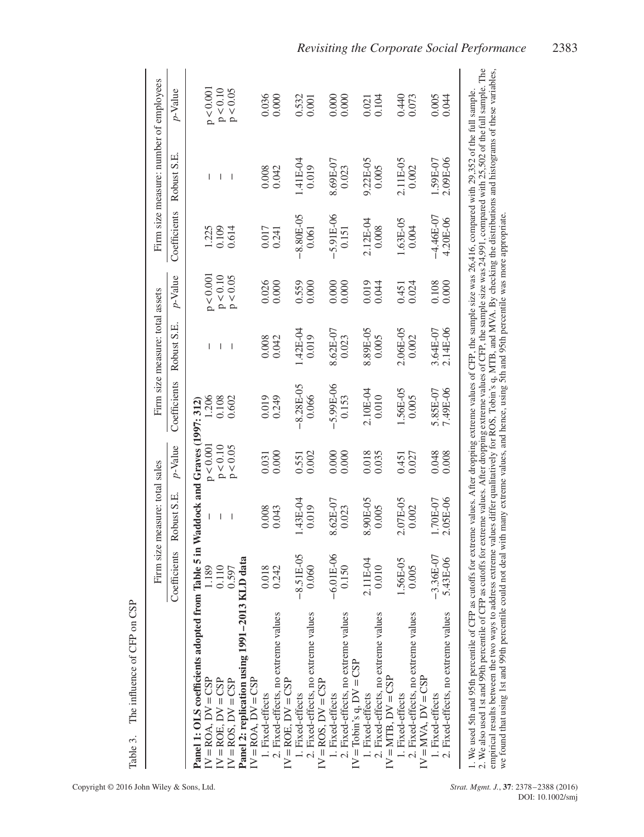|                                                                                                                                                                                                                                                                                                                                                                                                                                                                                                                                                                                                                                                                                                                                       |                                       | Firm size measure: total sales |            |              | Firm size measure: total assets |            |               | Firm size measure: number of employees |            |
|---------------------------------------------------------------------------------------------------------------------------------------------------------------------------------------------------------------------------------------------------------------------------------------------------------------------------------------------------------------------------------------------------------------------------------------------------------------------------------------------------------------------------------------------------------------------------------------------------------------------------------------------------------------------------------------------------------------------------------------|---------------------------------------|--------------------------------|------------|--------------|---------------------------------|------------|---------------|----------------------------------------|------------|
|                                                                                                                                                                                                                                                                                                                                                                                                                                                                                                                                                                                                                                                                                                                                       | Coefficients                          | Robust S.E.                    | $p$ -Value | Coefficients | Robust S.E.                     | $p$ -Value | Coefficients  | Robust S.E.                            | $p$ -Value |
| Panel 1: OLS coefficients adopted from Table 5 in Waddock and Graves (1997: 312)                                                                                                                                                                                                                                                                                                                                                                                                                                                                                                                                                                                                                                                      |                                       |                                |            |              |                                 |            |               |                                        |            |
| $IV = ROA$ , $DV = CSP$                                                                                                                                                                                                                                                                                                                                                                                                                                                                                                                                                                                                                                                                                                               | 189                                   |                                | p < 0.001  | 1.206        | I                               | p < 0.001  | 1.225         | I                                      | p < 0.001  |
| $IV = ROE$ , $DV = CSP$                                                                                                                                                                                                                                                                                                                                                                                                                                                                                                                                                                                                                                                                                                               | $\frac{1.189}{0.110}$                 | I                              | p < 0.10   | 0.108        | $\mathbf{I}$                    | p < 0.10   | 0.109         | I                                      | p < 0.10   |
| $IV = ROS$ , $DV = CSP$                                                                                                                                                                                                                                                                                                                                                                                                                                                                                                                                                                                                                                                                                                               | 0.597                                 | $\overline{\phantom{0}}$       | p < 0.05   | 0.602        | $\blacksquare$                  | p < 0.05   | 0.614         | $\overline{\phantom{a}}$               | $p < 0.05$ |
| Panel 2: replication using 1991–2013 KLD data<br>$IV = ROA$ , $DV = CSP$                                                                                                                                                                                                                                                                                                                                                                                                                                                                                                                                                                                                                                                              |                                       |                                |            |              |                                 |            |               |                                        |            |
| 1. Fixed-effects                                                                                                                                                                                                                                                                                                                                                                                                                                                                                                                                                                                                                                                                                                                      | 018                                   | 0.008                          | 0.031      | 0.019        | 0.008                           | 0.026      | 0.017         | 0.008                                  | 0.036      |
| 2. Fixed-effects, no extreme values<br>$IV = ROE$ , $DV = CSP$                                                                                                                                                                                                                                                                                                                                                                                                                                                                                                                                                                                                                                                                        | 0.242                                 | 0.043                          | 0.000      | 0.249        | 0.042                           | 0.000      | 0.241         | 0.042                                  | 0.000      |
| 1. Fixed-effects                                                                                                                                                                                                                                                                                                                                                                                                                                                                                                                                                                                                                                                                                                                      | $-8.51E-05$                           | 1.43E-04                       | 0.551      | $-8.28E-05$  | 1.42E-04                        | 0.559      | $-8.80E - 05$ | 1.41E-04                               | 0.532      |
| 2. Fixed-effects, no extreme values<br>$IV = ROS$ , $DV = CSP$                                                                                                                                                                                                                                                                                                                                                                                                                                                                                                                                                                                                                                                                        | 0.060                                 | 0.019                          | 0.002      | 0.066        | 0.019                           | 0.000      | 0.061         | 0.019                                  | 0.001      |
| 1. Fixed-effects                                                                                                                                                                                                                                                                                                                                                                                                                                                                                                                                                                                                                                                                                                                      | $-6.01E-06$                           | 8.62E-07                       | 0.000      | $-5.99E-06$  | 8.62E-07                        | 0.000      | $-5.91E-06$   | 8.69E-07                               | 0.000      |
| 2. Fixed-effects, no extreme values<br>$IV = Tobin's q, DV = CSP$                                                                                                                                                                                                                                                                                                                                                                                                                                                                                                                                                                                                                                                                     | $\overline{50}$<br>$\overline{\circ}$ | 0.023                          | 0.000      | 0.153        | 0.023                           | 0.000      | 0.151         | 0.023                                  | 0.000      |
| 1. Fixed-effects                                                                                                                                                                                                                                                                                                                                                                                                                                                                                                                                                                                                                                                                                                                      | 2.11E-04                              | 8.90E-05                       | 0.018      | 2.10E-04     | 8.89E-05                        | 0.019      | 2.12E-04      | 9.22E-05                               | 0.021      |
| 2. Fixed-effects, no extreme values<br>$IV = MTB$ , $DV = CSP$                                                                                                                                                                                                                                                                                                                                                                                                                                                                                                                                                                                                                                                                        | 0.010                                 | 0.005                          | 0.035      | 0.010        | 0.005                           | 0.044      | 0.008         | 0.005                                  | 0.104      |
| 1. Fixed-effects                                                                                                                                                                                                                                                                                                                                                                                                                                                                                                                                                                                                                                                                                                                      | 1.56E-05                              | 2.07E-05                       | 0.451      | 1.56E-05     | $2.06E-05$                      | 0.451      | 1.63E-05      | 2.11E-05                               | 0.440      |
| 2. Fixed-effects, no extreme values<br>$IV = MVA$ , $DV = CSP$                                                                                                                                                                                                                                                                                                                                                                                                                                                                                                                                                                                                                                                                        | 0.005                                 | 0.002                          | 0.027      | 0.005        | 0.002                           | 0.024      | 0.004         | 0.002                                  | 0.073      |
| 1. Fixed-effects                                                                                                                                                                                                                                                                                                                                                                                                                                                                                                                                                                                                                                                                                                                      | $-3.36E-07$                           | 1.70E-07                       | 0.048      | 5.85E-07     | 3.64E-07                        | 0.108      | $-4.46E-07$   | 1.59E-07                               | 0.005      |
| Fixed-effects, no extreme values                                                                                                                                                                                                                                                                                                                                                                                                                                                                                                                                                                                                                                                                                                      | 5.43E-06                              | 2.05E-06                       | 0.008      | 7.49E-06     | 2.14E-06                        | 0.000      | 4.20E-06      | 2.09E-06                               | 0.044      |
| 2. We also used 1st and 99th percentile of CFP as cutoffs for extreme values. After dropping extreme values of CFP, the sample size was 24,991, compared with 25,502 of the full sample. The<br>empirical results between the two ways to address extreme values differ qualitatively for ROS, Tobin's q, MTB, and MVA. By checking the distributions and histograms of these variables,<br>1. We used 5th and 95th percentile of CFP as cutoffs for extreme values. After dropping extreme values of CFP, the sample size was 26,416, compared with 29,352 of the full sample.<br>we found that using 1st and 99th percentile could not deal with many extreme values, and hence, using 5th and 95th percentile was more appropriate |                                       |                                |            |              |                                 |            |               |                                        |            |

The influence of CFP on CSP Table 3. The influence of CFP on CSP Table 3.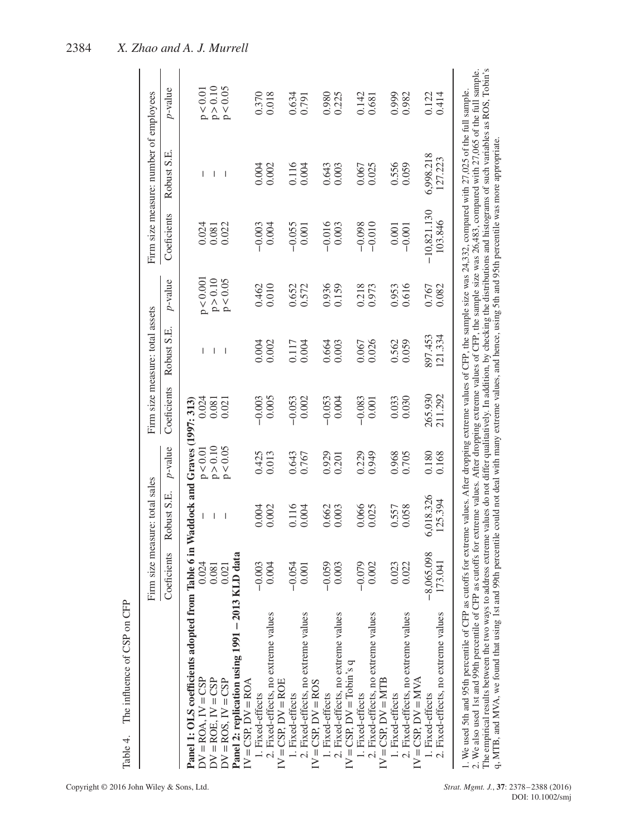|                                                                                                                                                                                                                                                                                                                                                                                                                                                                                                                                                                                                                                                                                                                                                          |              | Firm size measure: total sales |                  |             | Firm size measure: total assets |            |               | Firm size measure: number of employees |                |
|----------------------------------------------------------------------------------------------------------------------------------------------------------------------------------------------------------------------------------------------------------------------------------------------------------------------------------------------------------------------------------------------------------------------------------------------------------------------------------------------------------------------------------------------------------------------------------------------------------------------------------------------------------------------------------------------------------------------------------------------------------|--------------|--------------------------------|------------------|-------------|---------------------------------|------------|---------------|----------------------------------------|----------------|
|                                                                                                                                                                                                                                                                                                                                                                                                                                                                                                                                                                                                                                                                                                                                                          | Coeficients  | Robust S.E.                    | $p$ -value       | Coeficients | Robust S.E.                     | $p$ -value | Coeficients   | Robust S.E.                            | $p$ -value     |
| Panel 1: OLS coefficients adopted from Table 6 in Waddock and Graves (1997: 313)                                                                                                                                                                                                                                                                                                                                                                                                                                                                                                                                                                                                                                                                         |              |                                |                  |             |                                 |            |               |                                        |                |
| $DV = ROA$ , $IV = CSP$                                                                                                                                                                                                                                                                                                                                                                                                                                                                                                                                                                                                                                                                                                                                  | 0.024        |                                | $p<0.01$         | 0.024       | I                               | p < 0.001  | 0.024         | I                                      | p < 0.01       |
|                                                                                                                                                                                                                                                                                                                                                                                                                                                                                                                                                                                                                                                                                                                                                          | 0.081        | $\overline{\phantom{a}}$       | $\rm p\!>\!0.10$ | 0.081       | 1                               | p > 0.10   | 0.081         | $\overline{\phantom{a}}$               | p > 0.10       |
| $DV = ROE, IV = CSP$<br>$DV = ROS, IV = CSP$                                                                                                                                                                                                                                                                                                                                                                                                                                                                                                                                                                                                                                                                                                             | 0.021        | $\overline{\phantom{a}}$       | $p<0.05$         | 0.021       | $\overline{\phantom{a}}$        | p < 0.05   | 0.022         | $\overline{\phantom{0}}$               | p < 0.05       |
| Panel 2: replication using 1991 - 2013 KLD                                                                                                                                                                                                                                                                                                                                                                                                                                                                                                                                                                                                                                                                                                               | data         |                                |                  |             |                                 |            |               |                                        |                |
| $IV = CSP, DV = ROA$                                                                                                                                                                                                                                                                                                                                                                                                                                                                                                                                                                                                                                                                                                                                     |              |                                |                  |             |                                 |            |               |                                        |                |
| 1. Fixed-effects                                                                                                                                                                                                                                                                                                                                                                                                                                                                                                                                                                                                                                                                                                                                         | $-0.003$     | 0.004                          | 0.425            | $-0.003$    | 0.004                           | 0.462      | $-0.003$      | 0.004                                  |                |
| 2. Fixed-effects, no extreme values                                                                                                                                                                                                                                                                                                                                                                                                                                                                                                                                                                                                                                                                                                                      | 0.004        | 0.002                          | 0.013            | 0.005       | 0.002                           | 0.010      | 0.004         | 0.002                                  | 0.370<br>0.018 |
| $IV = CSP$ , $DV = ROE$                                                                                                                                                                                                                                                                                                                                                                                                                                                                                                                                                                                                                                                                                                                                  |              |                                |                  |             |                                 |            |               |                                        |                |
| 1. Fixed-effects                                                                                                                                                                                                                                                                                                                                                                                                                                                                                                                                                                                                                                                                                                                                         | $-0.054$     | 0.116                          | 0.643            | $-0.053$    | 0.117                           | 0.652      | $-0.055$      | 0.116                                  | 0.634          |
| 2. Fixed-effects, no extreme values                                                                                                                                                                                                                                                                                                                                                                                                                                                                                                                                                                                                                                                                                                                      | 0.001        | 0.004                          | 0.767            | 0.002       | 0.004                           | 0.572      | 0.001         | 0.004                                  | 0.791          |
| $IV = CSP$ , $DV = ROS$                                                                                                                                                                                                                                                                                                                                                                                                                                                                                                                                                                                                                                                                                                                                  |              |                                |                  |             |                                 |            |               |                                        |                |
| 1. Fixed-effects                                                                                                                                                                                                                                                                                                                                                                                                                                                                                                                                                                                                                                                                                                                                         | $-0.059$     | 0.662                          | 0.929            | $-0.053$    | 0.664                           | 0.936      | $-0.016$      |                                        | 0.980          |
| 2. Fixed-effects, no extreme values                                                                                                                                                                                                                                                                                                                                                                                                                                                                                                                                                                                                                                                                                                                      | 0.003        | 0.003                          | 0.201            | 0.004       | 0.003                           | 0.159      | 0.003         | $0.643$<br>$0.003$                     | 0.225          |
| $IV = CSP$ , $DV = Tobin's q$                                                                                                                                                                                                                                                                                                                                                                                                                                                                                                                                                                                                                                                                                                                            |              |                                |                  |             |                                 |            |               |                                        |                |
| 1. Fixed-effects                                                                                                                                                                                                                                                                                                                                                                                                                                                                                                                                                                                                                                                                                                                                         | $-0.079$     | 0.066                          | 0.229            | $-0.083$    | 0.067                           | 0.218      | $-0.098$      | 0.067                                  | 0.142          |
| 2. Fixed-effects, no extreme values                                                                                                                                                                                                                                                                                                                                                                                                                                                                                                                                                                                                                                                                                                                      | 0.002        | 0.025                          | 0.949            | 0.001       | 0.026                           | 0.973      | $-0.010$      | 0.025                                  | 0.681          |
| $IV = CSP$ , $DV = MTB$                                                                                                                                                                                                                                                                                                                                                                                                                                                                                                                                                                                                                                                                                                                                  |              |                                |                  |             |                                 |            |               |                                        |                |
| 1. Fixed-effects                                                                                                                                                                                                                                                                                                                                                                                                                                                                                                                                                                                                                                                                                                                                         | 0.023        | 0.557                          | 0.968            | 0.033       | 0.562                           | 0.953      | 0.001         | 0.556                                  | 0.999          |
| 2. Fixed-effects, no extreme values                                                                                                                                                                                                                                                                                                                                                                                                                                                                                                                                                                                                                                                                                                                      | 0.022        | 0.058                          | 0.705            | 0.030       | 0.059                           | 0.616      | $-0.001$      | 0.059                                  | 0.982          |
| $IV = CSP$ , $DV = MVA$                                                                                                                                                                                                                                                                                                                                                                                                                                                                                                                                                                                                                                                                                                                                  |              |                                |                  |             |                                 |            |               |                                        |                |
| 1. Fixed-effects                                                                                                                                                                                                                                                                                                                                                                                                                                                                                                                                                                                                                                                                                                                                         | $-8,065.098$ | 6,018.326                      | 0.180            | 265.930     | 897.453                         | 0.767      | $-10,821.130$ | 6,998.218                              | 0.122          |
| 2. Fixed-effects, no extreme values                                                                                                                                                                                                                                                                                                                                                                                                                                                                                                                                                                                                                                                                                                                      | 173.041      | 125.394                        | 0.168            | 211.292     | 121.334                         | 0.082      | 103.846       | 127.223                                | 0.414          |
| The empirical results between the two ways to address extreme values do not differ qualitatively. In addition, by checking the distributions and histograms of such variables as ROS, Tobin's<br>2. We also used 1st and 99th percentile of CFP as cutoffs for extreme values. After dropping extreme values of CFP, the sample size was 26,483, compared with 27,065 of the full sample.<br>1. We used 5th and 95th percentile of CFP as cutoffs for extreme values. After dropping extreme values of CFP, the sample size was 24,332, compared with 27,025 of the full sample.<br>q, MTB, and MVA, we found that using 1st and 99th percentile could not deal with many extreme values, and hence, using 5th and 95th percentile was more appropriate. |              |                                |                  |             |                                 |            |               |                                        |                |
|                                                                                                                                                                                                                                                                                                                                                                                                                                                                                                                                                                                                                                                                                                                                                          |              |                                |                  |             |                                 |            |               |                                        |                |

Copyright © 2016 John Wiley & Sons, Ltd. *Strat. Mgmt. J.*, **37**: 2378–2388 (2016)

Table 4. The influence of CSP on CFP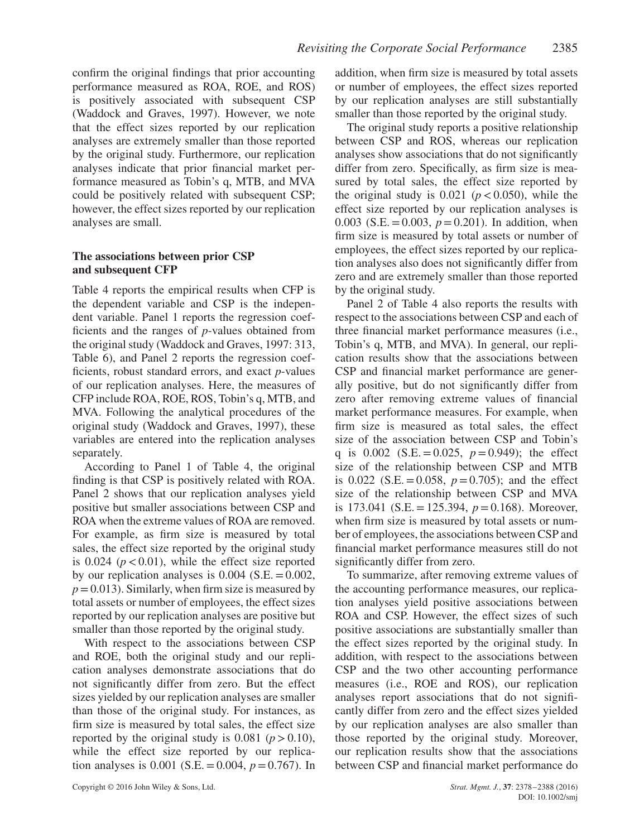confirm the original findings that prior accounting performance measured as ROA, ROE, and ROS) is positively associated with subsequent CSP (Waddock and Graves, 1997). However, we note that the effect sizes reported by our replication analyses are extremely smaller than those reported by the original study. Furthermore, our replication analyses indicate that prior financial market performance measured as Tobin's q, MTB, and MVA could be positively related with subsequent CSP; however, the effect sizes reported by our replication analyses are small.

## **The associations between prior CSP and subsequent CFP**

Table 4 reports the empirical results when CFP is the dependent variable and CSP is the independent variable. Panel 1 reports the regression coefficients and the ranges of *p*-values obtained from the original study (Waddock and Graves, 1997: 313, Table 6), and Panel 2 reports the regression coefficients, robust standard errors, and exact *p*-values of our replication analyses. Here, the measures of CFP include ROA, ROE, ROS, Tobin's q, MTB, and MVA. Following the analytical procedures of the original study (Waddock and Graves, 1997), these variables are entered into the replication analyses separately.

According to Panel 1 of Table 4, the original finding is that CSP is positively related with ROA. Panel 2 shows that our replication analyses yield positive but smaller associations between CSP and ROA when the extreme values of ROA are removed. For example, as firm size is measured by total sales, the effect size reported by the original study is  $0.024$  ( $p < 0.01$ ), while the effect size reported by our replication analyses is  $0.004$  (S.E. =  $0.002$ ,  $p = 0.013$ ). Similarly, when firm size is measured by total assets or number of employees, the effect sizes reported by our replication analyses are positive but smaller than those reported by the original study.

With respect to the associations between CSP and ROE, both the original study and our replication analyses demonstrate associations that do not significantly differ from zero. But the effect sizes yielded by our replication analyses are smaller than those of the original study. For instances, as firm size is measured by total sales, the effect size reported by the original study is 0.081 ( $p > 0.10$ ), while the effect size reported by our replication analyses is  $0.001$  (S.E. = 0.004,  $p = 0.767$ ). In

addition, when firm size is measured by total assets or number of employees, the effect sizes reported by our replication analyses are still substantially smaller than those reported by the original study.

The original study reports a positive relationship between CSP and ROS, whereas our replication analyses show associations that do not significantly differ from zero. Specifically, as firm size is measured by total sales, the effect size reported by the original study is  $0.021$  ( $p < 0.050$ ), while the effect size reported by our replication analyses is 0.003 (S.E. = 0.003,  $p = 0.201$ ). In addition, when firm size is measured by total assets or number of employees, the effect sizes reported by our replication analyses also does not significantly differ from zero and are extremely smaller than those reported by the original study.

Panel 2 of Table 4 also reports the results with respect to the associations between CSP and each of three financial market performance measures (i.e., Tobin's q, MTB, and MVA). In general, our replication results show that the associations between CSP and financial market performance are generally positive, but do not significantly differ from zero after removing extreme values of financial market performance measures. For example, when firm size is measured as total sales, the effect size of the association between CSP and Tobin's q is  $0.002$  (S.E. = 0.025,  $p = 0.949$ ); the effect size of the relationship between CSP and MTB is  $0.022$  (S.E. = 0.058,  $p = 0.705$ ); and the effect size of the relationship between CSP and MVA is 173.041 (S.E.=125.394, *p*=0.168). Moreover, when firm size is measured by total assets or number of employees, the associations between CSP and financial market performance measures still do not significantly differ from zero.

To summarize, after removing extreme values of the accounting performance measures, our replication analyses yield positive associations between ROA and CSP. However, the effect sizes of such positive associations are substantially smaller than the effect sizes reported by the original study. In addition, with respect to the associations between CSP and the two other accounting performance measures (i.e., ROE and ROS), our replication analyses report associations that do not significantly differ from zero and the effect sizes yielded by our replication analyses are also smaller than those reported by the original study. Moreover, our replication results show that the associations between CSP and financial market performance do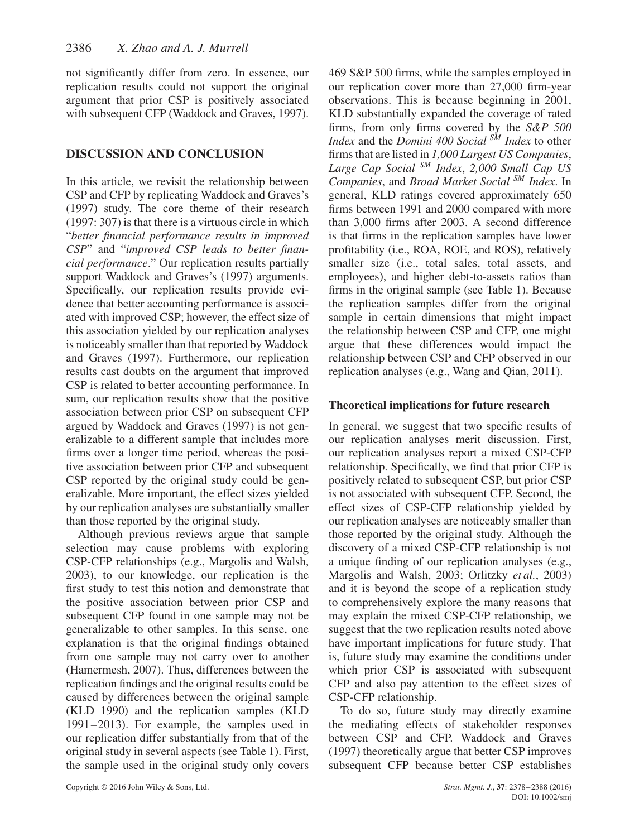not significantly differ from zero. In essence, our replication results could not support the original argument that prior CSP is positively associated with subsequent CFP (Waddock and Graves, 1997).

# **DISCUSSION AND CONCLUSION**

In this article, we revisit the relationship between CSP and CFP by replicating Waddock and Graves's (1997) study. The core theme of their research (1997: 307) is that there is a virtuous circle in which "*better financial performance results in improved CSP*" and "*improved CSP leads to better financial performance*." Our replication results partially support Waddock and Graves's (1997) arguments. Specifically, our replication results provide evidence that better accounting performance is associated with improved CSP; however, the effect size of this association yielded by our replication analyses is noticeably smaller than that reported by Waddock and Graves (1997). Furthermore, our replication results cast doubts on the argument that improved CSP is related to better accounting performance. In sum, our replication results show that the positive association between prior CSP on subsequent CFP argued by Waddock and Graves (1997) is not generalizable to a different sample that includes more firms over a longer time period, whereas the positive association between prior CFP and subsequent CSP reported by the original study could be generalizable. More important, the effect sizes yielded by our replication analyses are substantially smaller than those reported by the original study.

Although previous reviews argue that sample selection may cause problems with exploring CSP-CFP relationships (e.g., Margolis and Walsh, 2003), to our knowledge, our replication is the first study to test this notion and demonstrate that the positive association between prior CSP and subsequent CFP found in one sample may not be generalizable to other samples. In this sense, one explanation is that the original findings obtained from one sample may not carry over to another (Hamermesh, 2007). Thus, differences between the replication findings and the original results could be caused by differences between the original sample (KLD 1990) and the replication samples (KLD 1991–2013). For example, the samples used in our replication differ substantially from that of the original study in several aspects (see Table 1). First, the sample used in the original study only covers 469 S&P 500 firms, while the samples employed in our replication cover more than 27,000 firm-year observations. This is because beginning in 2001, KLD substantially expanded the coverage of rated firms, from only firms covered by the *S&P 500 Index* and the *Domini 400 Social SM Index* to other firms that are listed in *1,000 Largest US Companies*, *Large Cap Social SM Index*, *2,000 Small Cap US Companies*, and *Broad Market Social SM Index*. In general, KLD ratings covered approximately 650 firms between 1991 and 2000 compared with more than 3,000 firms after 2003. A second difference is that firms in the replication samples have lower profitability (i.e., ROA, ROE, and ROS), relatively smaller size (i.e., total sales, total assets, and employees), and higher debt-to-assets ratios than firms in the original sample (see Table 1). Because the replication samples differ from the original sample in certain dimensions that might impact the relationship between CSP and CFP, one might argue that these differences would impact the relationship between CSP and CFP observed in our replication analyses (e.g., Wang and Qian, 2011).

## **Theoretical implications for future research**

In general, we suggest that two specific results of our replication analyses merit discussion. First, our replication analyses report a mixed CSP-CFP relationship. Specifically, we find that prior CFP is positively related to subsequent CSP, but prior CSP is not associated with subsequent CFP. Second, the effect sizes of CSP-CFP relationship yielded by our replication analyses are noticeably smaller than those reported by the original study. Although the discovery of a mixed CSP-CFP relationship is not a unique finding of our replication analyses (e.g., Margolis and Walsh, 2003; Orlitzky *et al.*, 2003) and it is beyond the scope of a replication study to comprehensively explore the many reasons that may explain the mixed CSP-CFP relationship, we suggest that the two replication results noted above have important implications for future study. That is, future study may examine the conditions under which prior CSP is associated with subsequent CFP and also pay attention to the effect sizes of CSP-CFP relationship.

To do so, future study may directly examine the mediating effects of stakeholder responses between CSP and CFP. Waddock and Graves (1997) theoretically argue that better CSP improves subsequent CFP because better CSP establishes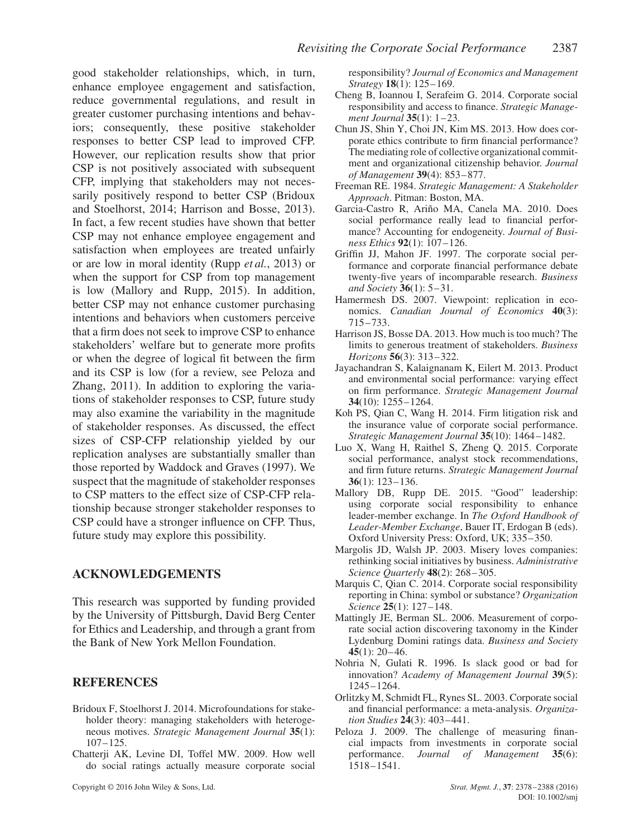good stakeholder relationships, which, in turn, enhance employee engagement and satisfaction, reduce governmental regulations, and result in greater customer purchasing intentions and behaviors; consequently, these positive stakeholder responses to better CSP lead to improved CFP. However, our replication results show that prior CSP is not positively associated with subsequent CFP, implying that stakeholders may not necessarily positively respond to better CSP (Bridoux and Stoelhorst, 2014; Harrison and Bosse, 2013). In fact, a few recent studies have shown that better CSP may not enhance employee engagement and satisfaction when employees are treated unfairly or are low in moral identity (Rupp *et al.*, 2013) or when the support for CSP from top management is low (Mallory and Rupp, 2015). In addition, better CSP may not enhance customer purchasing intentions and behaviors when customers perceive that a firm does not seek to improve CSP to enhance stakeholders' welfare but to generate more profits or when the degree of logical fit between the firm and its CSP is low (for a review, see Peloza and Zhang, 2011). In addition to exploring the variations of stakeholder responses to CSP, future study may also examine the variability in the magnitude of stakeholder responses. As discussed, the effect sizes of CSP-CFP relationship yielded by our replication analyses are substantially smaller than those reported by Waddock and Graves (1997). We suspect that the magnitude of stakeholder responses to CSP matters to the effect size of CSP-CFP relationship because stronger stakeholder responses to CSP could have a stronger influence on CFP. Thus, future study may explore this possibility.

# **ACKNOWLEDGEMENTS**

This research was supported by funding provided by the University of Pittsburgh, David Berg Center for Ethics and Leadership, and through a grant from the Bank of New York Mellon Foundation.

## **REFERENCES**

- Bridoux F, Stoelhorst J. 2014. Microfoundations for stakeholder theory: managing stakeholders with heterogeneous motives. *Strategic Management Journal* **35**(1): 107–125.
- Chatterji AK, Levine DI, Toffel MW. 2009. How well do social ratings actually measure corporate social

responsibility? *Journal of Economics and Management Strategy* **18**(1): 125–169.

- Cheng B, Ioannou I, Serafeim G. 2014. Corporate social responsibility and access to finance. *Strategic Management Journal* **35**(1): 1–23.
- Chun JS, Shin Y, Choi JN, Kim MS. 2013. How does corporate ethics contribute to firm financial performance? The mediating role of collective organizational commitment and organizational citizenship behavior. *Journal of Management* **39**(4): 853–877.
- Freeman RE. 1984. *Strategic Management: A Stakeholder Approach*. Pitman: Boston, MA.
- Garcia-Castro R, Ariño MA, Canela MA. 2010. Does social performance really lead to financial performance? Accounting for endogeneity. *Journal of Business Ethics* **92**(1): 107–126.
- Griffin JJ, Mahon JF. 1997. The corporate social performance and corporate financial performance debate twenty-five years of incomparable research. *Business and Society* **36**(1): 5–31.
- Hamermesh DS. 2007. Viewpoint: replication in economics. *Canadian Journal of Economics* **40**(3): 715–733.
- Harrison JS, Bosse DA. 2013. How much is too much? The limits to generous treatment of stakeholders. *Business Horizons* **56**(3): 313–322.
- Jayachandran S, Kalaignanam K, Eilert M. 2013. Product and environmental social performance: varying effect on firm performance. *Strategic Management Journal* **34**(10): 1255–1264.
- Koh PS, Qian C, Wang H. 2014. Firm litigation risk and the insurance value of corporate social performance. *Strategic Management Journal* **35**(10): 1464–1482.
- Luo X, Wang H, Raithel S, Zheng Q. 2015. Corporate social performance, analyst stock recommendations, and firm future returns. *Strategic Management Journal* **36**(1): 123–136.
- Mallory DB, Rupp DE. 2015. "Good" leadership: using corporate social responsibility to enhance leader-member exchange. In *The Oxford Handbook of Leader-Member Exchange*, Bauer IT, Erdogan B (eds). Oxford University Press: Oxford, UK; 335–350.
- Margolis JD, Walsh JP. 2003. Misery loves companies: rethinking social initiatives by business. *Administrative Science Quarterly* **48**(2): 268–305.
- Marquis C, Qian C. 2014. Corporate social responsibility reporting in China: symbol or substance? *Organization Science* **25**(1): 127–148.
- Mattingly JE, Berman SL. 2006. Measurement of corporate social action discovering taxonomy in the Kinder Lydenburg Domini ratings data. *Business and Society* **45**(1): 20–46.
- Nohria N, Gulati R. 1996. Is slack good or bad for innovation? *Academy of Management Journal* **39**(5): 1245–1264.
- Orlitzky M, Schmidt FL, Rynes SL. 2003. Corporate social and financial performance: a meta-analysis. *Organization Studies* **24**(3): 403–441.
- Peloza J. 2009. The challenge of measuring financial impacts from investments in corporate social performance. *Journal of Management* **35**(6): 1518–1541.